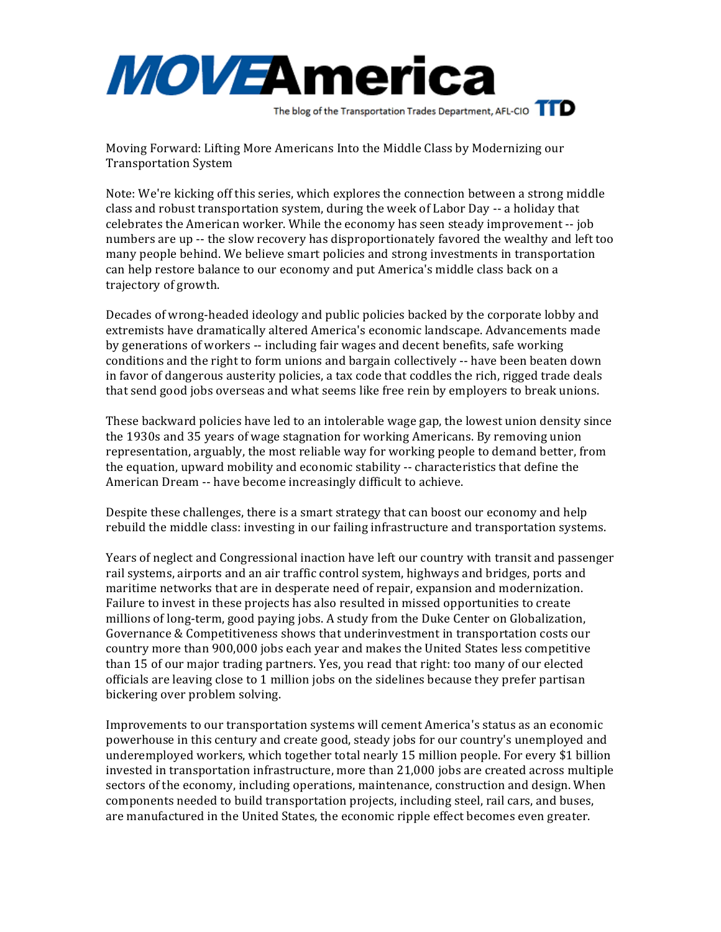

Moving Forward: Lifting More Americans Into the Middle Class by Modernizing our Transportation System

Note: We're kicking off this series, which explores the connection between a strong middle class and robust transportation system, during the week of Labor Day -- a holiday that celebrates the American worker. While the economy has seen steady improvement -- job numbers are up -- the slow recovery has disproportionately favored the wealthy and left too many people behind. We believe smart policies and strong investments in transportation can help restore balance to our economy and put America's middle class back on a trajectory of growth.

Decades of wrong-headed ideology and public policies backed by the corporate lobby and extremists have dramatically altered America's economic landscape. Advancements made by generations of workers -- including fair wages and decent benefits, safe working conditions and the right to form unions and bargain collectively -- have been beaten down in favor of dangerous austerity policies, a tax code that coddles the rich, rigged trade deals that send good jobs overseas and what seems like free rein by employers to break unions.

These backward policies have led to an intolerable wage gap, the lowest union density since the 1930s and 35 years of wage stagnation for working Americans. By removing union representation, arguably, the most reliable way for working people to demand better, from the equation, upward mobility and economic stability -- characteristics that define the American Dream -- have become increasingly difficult to achieve.

Despite these challenges, there is a smart strategy that can boost our economy and help rebuild the middle class: investing in our failing infrastructure and transportation systems.

Years of neglect and Congressional inaction have left our country with transit and passenger rail systems, airports and an air traffic control system, highways and bridges, ports and maritime networks that are in desperate need of repair, expansion and modernization. Failure to invest in these projects has also resulted in missed opportunities to create millions of long-term, good paying jobs. A study from the Duke Center on Globalization, Governance & Competitiveness shows that underinvestment in transportation costs our country more than 900,000 jobs each year and makes the United States less competitive than 15 of our major trading partners. Yes, you read that right: too many of our elected officials are leaving close to 1 million jobs on the sidelines because they prefer partisan bickering over problem solving.

Improvements to our transportation systems will cement America's status as an economic powerhouse in this century and create good, steady jobs for our country's unemployed and underemployed workers, which together total nearly 15 million people. For every \$1 billion invested in transportation infrastructure, more than  $21,000$  jobs are created across multiple sectors of the economy, including operations, maintenance, construction and design. When components needed to build transportation projects, including steel, rail cars, and buses, are manufactured in the United States, the economic ripple effect becomes even greater.